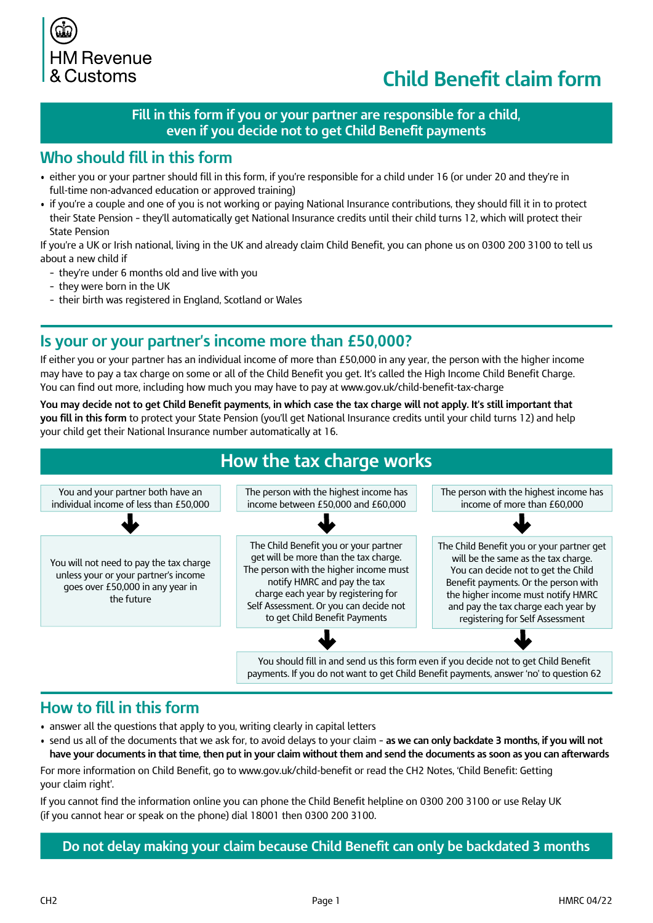

# **Child Benefit claim form**

### Fill in this form if you or your partner are responsible for a child, even if you decide not to get Child Benefit payments

### **Who should fill in this form**

- either you or your partner should fill in this form, if you're responsible for a child under 16 (or under 20 and they're in full-time non-advanced education or approved training)
- if you're a couple and one of you is not working or paying National Insurance contributions, they should fill it in to protect their State Pension - they'll automatically get National Insurance credits until their child turns 12, which will protect their **State Pension**

If you're a UK or Irish national, living in the UK and already claim Child Benefit, you can phone us on 0300 200 3100 to tell us about a new child if

- they're under 6 months old and live with you
- they were born in the UK
- their birth was registered in England, Scotland or Wales

### **Is your or your partner's income more than £50,000?**

If either you or your partner has an individual income of more than £50,000 in any year, the person with the higher income may have to pay a tax charge on some or all of the Child Benefit you get. It's called the High Income Child Benefit Charge. You can find out more, including how much you may have to pay at www.gov.uk/child-benefit-tax-charge

You may decide not to get Child Benefit payments, in which case the tax charge will not apply. It's still important that **you fill in this form** to protect your State Pension (you'll get National Insurance credits until your child turns 12) and help your child get their National Insurance number automatically at 16.



### **How to fill in this form**

- answer all the questions that apply to you, writing clearly in capital letters
- send us all of the documents that we ask for, to avoid delays to your claim as we can only backdate 3 months, if you will not have your documents in that time, then put in your claim without them and send the documents as soon as you can afterwards

For more information on Child Benefit, go to www.gov.uk/child-benefit or read the CH2 Notes, 'Child Benefit: Getting your claim right'.

If you cannot find the information online you can phone the Child Benefit helpline on 0300 200 3100 or use Relay UK (if you cannot hear or speak on the phone) dial 18001 then 0300 200 3100.

Do not delay making your claim because Child Benefit can only be backdated 3 months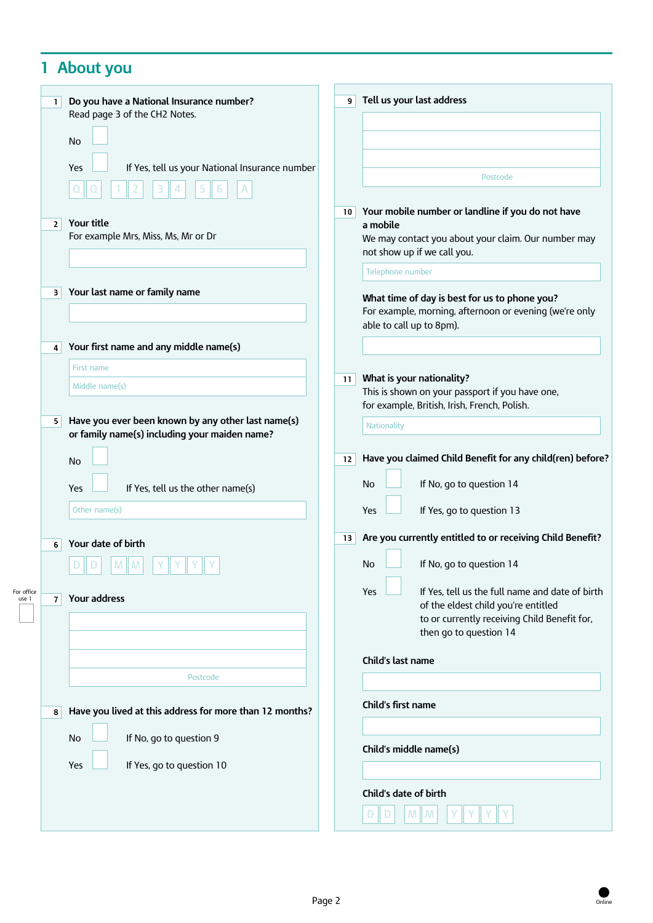# **1 About you**

|                     | $\mathbf{1}$   | Do you have a National Insurance number?                                                            | 9 <sup>1</sup>  | Tell us your last address                                                                               |
|---------------------|----------------|-----------------------------------------------------------------------------------------------------|-----------------|---------------------------------------------------------------------------------------------------------|
|                     |                | Read page 3 of the CH2 Notes.                                                                       |                 |                                                                                                         |
|                     |                | <b>No</b>                                                                                           |                 |                                                                                                         |
|                     |                | If Yes, tell us your National Insurance number<br>Yes                                               |                 |                                                                                                         |
|                     |                |                                                                                                     |                 | Postcode                                                                                                |
|                     |                |                                                                                                     |                 |                                                                                                         |
|                     | 2 <sup>1</sup> | Your title                                                                                          | 10 <sup>1</sup> | Your mobile number or landline if you do not have<br>a mobile                                           |
|                     |                | For example Mrs, Miss, Ms, Mr or Dr                                                                 |                 | We may contact you about your claim. Our number may                                                     |
|                     |                |                                                                                                     |                 | not show up if we call you.<br>Telephone number                                                         |
|                     |                |                                                                                                     |                 |                                                                                                         |
|                     | 3              | Your last name or family name                                                                       |                 | What time of day is best for us to phone you?<br>For example, morning, afternoon or evening (we're only |
|                     |                |                                                                                                     |                 | able to call up to 8pm).                                                                                |
|                     | 4              | Your first name and any middle name(s)                                                              |                 |                                                                                                         |
|                     |                | First name                                                                                          |                 |                                                                                                         |
|                     |                | Middle name(s)                                                                                      | 11              | What is your nationality?<br>This is shown on your passport if you have one,                            |
|                     |                |                                                                                                     |                 | for example, British, Irish, French, Polish.                                                            |
|                     | 5 <sup>1</sup> | Have you ever been known by any other last name(s)<br>or family name(s) including your maiden name? |                 | Nationality                                                                                             |
|                     |                |                                                                                                     |                 |                                                                                                         |
|                     |                | <b>No</b>                                                                                           | 12              | Have you claimed Child Benefit for any child(ren) before?                                               |
|                     |                | If Yes, tell us the other name(s)<br>Yes                                                            |                 | If No, go to question 14<br>No                                                                          |
|                     |                | Other name(s)                                                                                       |                 | If Yes, go to question 13<br>Yes                                                                        |
|                     |                |                                                                                                     | 13              | Are you currently entitled to or receiving Child Benefit?                                               |
|                     | 6              | Your date of birth                                                                                  |                 |                                                                                                         |
|                     |                | M<br>M                                                                                              |                 | If No, go to question 14<br>No                                                                          |
| For office<br>use 1 | $\overline{7}$ | Your address                                                                                        |                 | If Yes, tell us the full name and date of birth<br>Yes                                                  |
|                     |                |                                                                                                     |                 | of the eldest child you're entitled<br>to or currently receiving Child Benefit for,                     |
|                     |                |                                                                                                     |                 | then go to question 14                                                                                  |
|                     |                |                                                                                                     |                 | Child's last name                                                                                       |
|                     |                | Postcode                                                                                            |                 |                                                                                                         |
|                     |                |                                                                                                     |                 | Child's first name                                                                                      |
|                     | 8              | Have you lived at this address for more than 12 months?                                             |                 |                                                                                                         |
|                     |                | If No, go to question 9<br>No                                                                       |                 |                                                                                                         |
|                     |                | Yes<br>If Yes, go to question 10                                                                    |                 | Child's middle name(s)                                                                                  |
|                     |                |                                                                                                     |                 |                                                                                                         |
|                     |                |                                                                                                     |                 | Child's date of birth                                                                                   |
|                     |                |                                                                                                     |                 | M<br>M                                                                                                  |

Online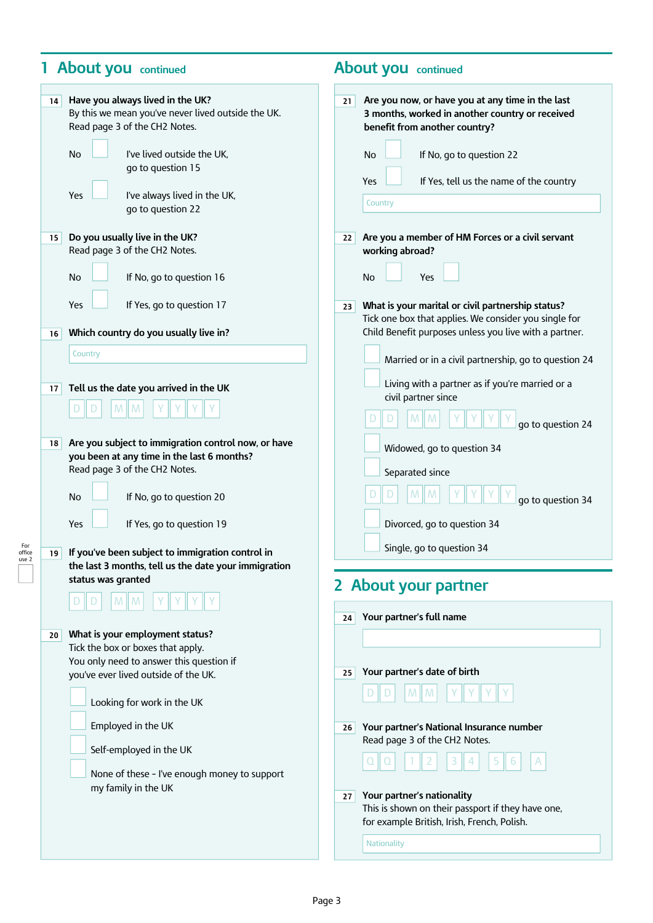### **1 About you** continued **About you** continued

For<br>office<br>use 2

| 14                    | Have you always lived in the UK?<br>By this we mean you've never lived outside the UK.<br>Read page 3 of the CH2 Notes.<br>No<br>I've lived outside the UK,<br>go to question 15<br>Yes<br>I've always lived in the UK,<br>go to question 22                                                                   | Are you now, or have you at any time in the last<br>21<br>3 months, worked in another country or received<br>benefit from another country?<br>No<br>If No, go to question 22<br>If Yes, tell us the name of the country<br>Yes<br>Country                                                                                |
|-----------------------|----------------------------------------------------------------------------------------------------------------------------------------------------------------------------------------------------------------------------------------------------------------------------------------------------------------|--------------------------------------------------------------------------------------------------------------------------------------------------------------------------------------------------------------------------------------------------------------------------------------------------------------------------|
| 15 <sub>1</sub><br>16 | Do you usually live in the UK?<br>Read page 3 of the CH2 Notes.<br>No<br>If No, go to question 16<br>Yes<br>If Yes, go to question 17<br>Which country do you usually live in?                                                                                                                                 | Are you a member of HM Forces or a civil servant<br>22<br>working abroad?<br>No<br>Yes<br>What is your marital or civil partnership status?<br>23<br>Tick one box that applies. We consider you single for<br>Child Benefit purposes unless you live with a partner.                                                     |
|                       | Country                                                                                                                                                                                                                                                                                                        | Married or in a civil partnership, go to question 24                                                                                                                                                                                                                                                                     |
| 17                    | Tell us the date you arrived in the UK                                                                                                                                                                                                                                                                         | Living with a partner as if you're married or a<br>civil partner since<br>go to question 24                                                                                                                                                                                                                              |
| 18                    | Are you subject to immigration control now, or have<br>you been at any time in the last 6 months?<br>Read page 3 of the CH2 Notes.<br>If No, go to question 20<br>No<br>Yes<br>If Yes, go to question 19                                                                                                       | Widowed, go to question 34<br>Separated since<br>go to question 34<br>Divorced, go to question 34<br>Single, go to question 34                                                                                                                                                                                           |
| 19                    | If you've been subject to immigration control in<br>the last 3 months, tell us the date your immigration                                                                                                                                                                                                       |                                                                                                                                                                                                                                                                                                                          |
|                       | status was granted                                                                                                                                                                                                                                                                                             | 2 About your partner                                                                                                                                                                                                                                                                                                     |
|                       |                                                                                                                                                                                                                                                                                                                |                                                                                                                                                                                                                                                                                                                          |
| 20                    | What is your employment status?<br>Tick the box or boxes that apply.<br>You only need to answer this question if<br>you've ever lived outside of the UK.<br>Looking for work in the UK<br>Employed in the UK<br>Self-employed in the UK<br>None of these - I've enough money to support<br>my family in the UK | Your partner's full name<br>24<br>Your partner's date of birth<br>25<br>M<br>M<br>Your partner's National Insurance number<br>26<br>Read page 3 of the CH2 Notes.<br>Your partner's nationality<br>27<br>This is shown on their passport if they have one,<br>for example British, Irish, French, Polish.<br>Nationality |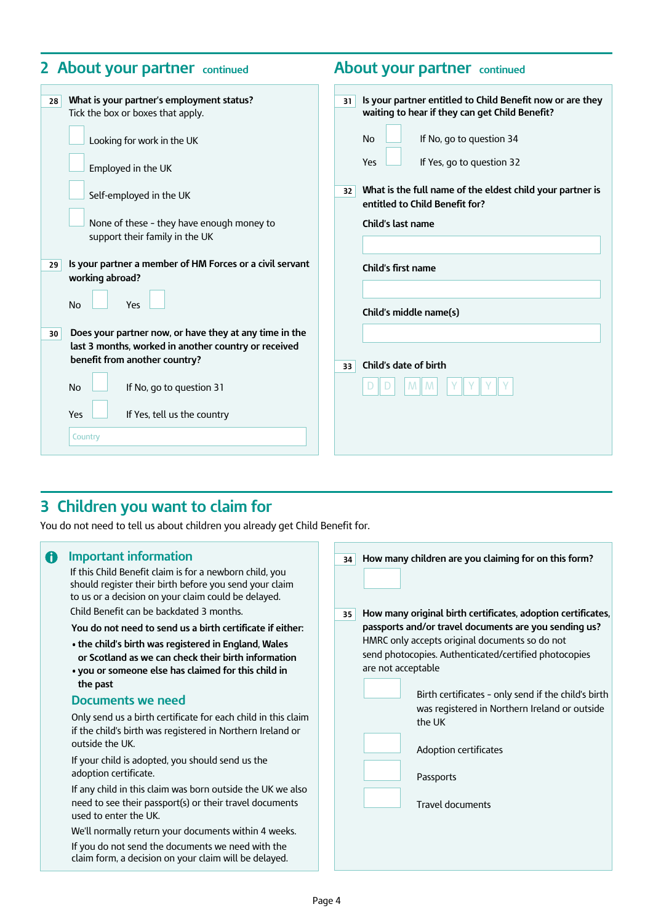| 2 About your partner continued                                          |                                                                                                                                                                                                                                                                                                                                                                                                                                                                                                                                                  |                | <b>About your partner</b> continued                                                                                                                                                                                                                                                                                                                                                        |  |  |
|-------------------------------------------------------------------------|--------------------------------------------------------------------------------------------------------------------------------------------------------------------------------------------------------------------------------------------------------------------------------------------------------------------------------------------------------------------------------------------------------------------------------------------------------------------------------------------------------------------------------------------------|----------------|--------------------------------------------------------------------------------------------------------------------------------------------------------------------------------------------------------------------------------------------------------------------------------------------------------------------------------------------------------------------------------------------|--|--|
| 28<br>29<br><b>No</b><br>30 <sup>°</sup><br><b>No</b><br>Yes<br>Country | What is your partner's employment status?<br>Tick the box or boxes that apply.<br>Looking for work in the UK<br>Employed in the UK<br>Self-employed in the UK<br>None of these - they have enough money to<br>support their family in the UK<br>Is your partner a member of HM Forces or a civil servant<br>working abroad?<br>Yes<br>Does your partner now, or have they at any time in the<br>last 3 months, worked in another country or received<br>benefit from another country?<br>If No, go to question 31<br>If Yes, tell us the country | 31<br>32<br>33 | Is your partner entitled to Child Benefit now or are they<br>waiting to hear if they can get Child Benefit?<br><b>No</b><br>If No, go to question 34<br>If Yes, go to question 32<br>Yes<br>What is the full name of the eldest child your partner is<br>entitled to Child Benefit for?<br>Child's last name<br>Child's first name<br>Child's middle name(s)<br>Child's date of birth<br>M |  |  |

## **3 Children you want to claim for**

You do not need to tell us about children you already get Child Benefit for.

#### $\bigoplus$  Important information

If this Child Benefit claim is for a newborn child, you should register their birth before you send your claim to us or a decision on your claim could be delayed.

Child Benefit can be backdated 3 months.

**You do not need to send us a birth certificate if either:**

- **• the child's birth was registered in England, Wales or Scotland as we can check their birth information**
- **• you or someone else has claimed for this child in the past**

#### **Documents we need**

Only send us a birth certificate for each child in this claim if the child's birth was registered in Northern Ireland or outside the UK.

If your child is adopted, you should send us the adoption certificate.

If any child in this claim was born outside the UK we also need to see their passport(s) or their travel documents used to enter the UK.

We'll normally return your documents within 4 weeks.

If you do not send the documents we need with the claim form, a decision on your claim will be delayed.

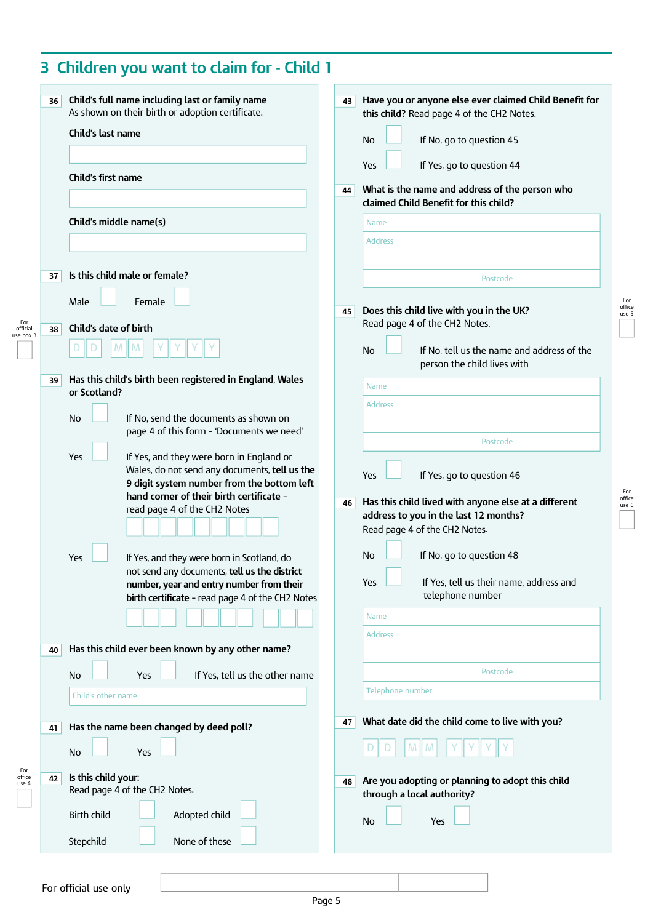| 36 | Child's full name including last or family name<br>As shown on their birth or adoption certificate.<br>Child's last name                                                                                                   | Have you or anyone else ever claimed Child Benefit for<br>43<br>this child? Read page 4 of the CH2 Notes.<br>If No, go to question 45<br>No                              |  |  |
|----|----------------------------------------------------------------------------------------------------------------------------------------------------------------------------------------------------------------------------|--------------------------------------------------------------------------------------------------------------------------------------------------------------------------|--|--|
|    | Child's first name                                                                                                                                                                                                         | If Yes, go to question 44<br>Yes<br>What is the name and address of the person who<br>44<br>claimed Child Benefit for this child?                                        |  |  |
|    | Child's middle name(s)                                                                                                                                                                                                     | <b>Name</b><br><b>Address</b>                                                                                                                                            |  |  |
| 37 | Is this child male or female?                                                                                                                                                                                              | Postcode                                                                                                                                                                 |  |  |
| 38 | Female<br>Male<br>Child's date of birth                                                                                                                                                                                    | Does this child live with you in the UK?<br>45<br>Read page 4 of the CH2 Notes.                                                                                          |  |  |
|    |                                                                                                                                                                                                                            | If No, tell us the name and address of the<br><b>No</b><br>person the child lives with                                                                                   |  |  |
| 39 | Has this child's birth been registered in England, Wales<br>or Scotland?                                                                                                                                                   | <b>Name</b><br><b>Address</b>                                                                                                                                            |  |  |
|    | If No, send the documents as shown on<br><b>No</b><br>page 4 of this form - 'Documents we need'                                                                                                                            | Postcode                                                                                                                                                                 |  |  |
|    | Yes<br>If Yes, and they were born in England or<br>Wales, do not send any documents, tell us the<br>9 digit system number from the bottom left<br>hand corner of their birth certificate -<br>read page 4 of the CH2 Notes | If Yes, go to question 46<br>Yes<br>Has this child lived with anyone else at a different<br>46<br>address to you in the last 12 months?<br>Read page 4 of the CH2 Notes. |  |  |
|    | Yes<br>If Yes, and they were born in Scotland, do<br>not send any documents, tell us the district<br>number, year and entry number from their<br>birth certificate - read page 4 of the CH2 Notes                          | If No, go to question 48<br>No<br>Yes<br>If Yes, tell us their name, address and<br>telephone number<br>Name                                                             |  |  |
| 40 | Has this child ever been known by any other name?                                                                                                                                                                          | <b>Address</b>                                                                                                                                                           |  |  |
|    | If Yes, tell us the other name<br>No<br>Yes<br>Child's other name                                                                                                                                                          | Postcode<br>Telephone number                                                                                                                                             |  |  |
| 41 | Has the name been changed by deed poll?                                                                                                                                                                                    | What date did the child come to live with you?<br>47                                                                                                                     |  |  |
| 42 | Yes<br><b>No</b><br>Is this child your:<br>Read page 4 of the CH2 Notes.                                                                                                                                                   | Are you adopting or planning to adopt this child<br>48<br>through a local authority?                                                                                     |  |  |
|    | <b>Birth child</b><br>Adopted child<br>None of these                                                                                                                                                                       | No<br>Yes                                                                                                                                                                |  |  |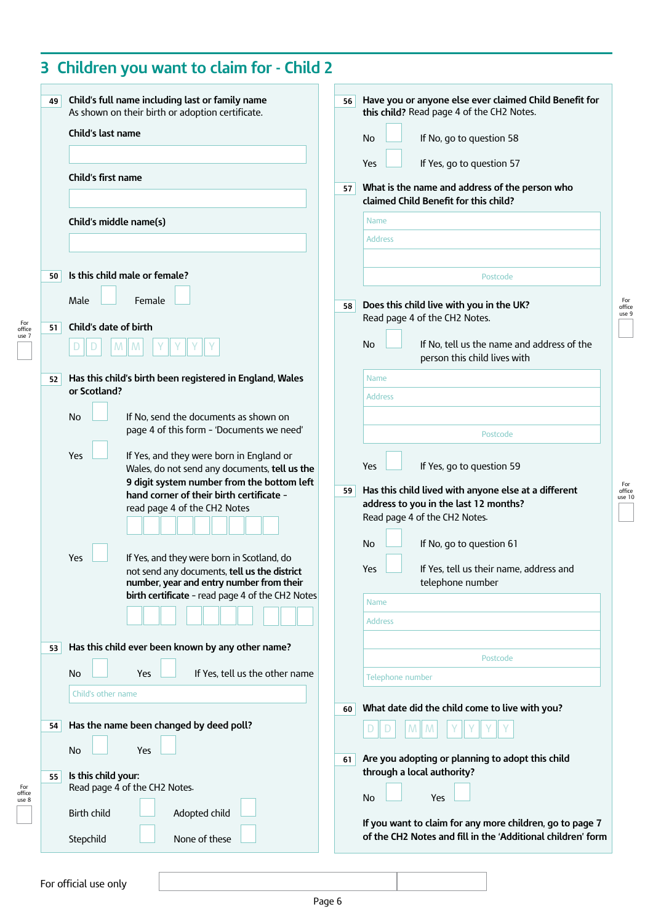| 49 | Child's full name including last or family name<br>As shown on their birth or adoption certificate.<br>Child's last name                                                                                                   | 56 | Have you or anyone else ever claimed Child Benefit for<br>this child? Read page 4 of the CH2 Notes.<br>If No, go to question 58<br>No                              |
|----|----------------------------------------------------------------------------------------------------------------------------------------------------------------------------------------------------------------------------|----|--------------------------------------------------------------------------------------------------------------------------------------------------------------------|
|    | Child's first name                                                                                                                                                                                                         | 57 | If Yes, go to question 57<br>Yes<br>What is the name and address of the person who                                                                                 |
|    | Child's middle name(s)                                                                                                                                                                                                     |    | claimed Child Benefit for this child?<br><b>Name</b><br><b>Address</b>                                                                                             |
| 50 | Is this child male or female?                                                                                                                                                                                              |    | Postcode                                                                                                                                                           |
|    | Male<br>Female<br>Child's date of birth                                                                                                                                                                                    | 58 | Does this child live with you in the UK?<br>Read page 4 of the CH2 Notes.                                                                                          |
| 51 | M<br>M                                                                                                                                                                                                                     |    | If No, tell us the name and address of the<br>No<br>person this child lives with                                                                                   |
| 52 | Has this child's birth been registered in England, Wales<br>or Scotland?                                                                                                                                                   |    | <b>Name</b><br><b>Address</b>                                                                                                                                      |
|    | If No, send the documents as shown on<br><b>No</b><br>page 4 of this form - 'Documents we need'                                                                                                                            |    | Postcode                                                                                                                                                           |
|    | Yes<br>If Yes, and they were born in England or<br>Wales, do not send any documents, tell us the<br>9 digit system number from the bottom left<br>hand corner of their birth certificate -<br>read page 4 of the CH2 Notes | 59 | If Yes, go to question 59<br>Yes<br>Has this child lived with anyone else at a different<br>address to you in the last 12 months?<br>Read page 4 of the CH2 Notes. |
|    | If Yes, and they were born in Scotland, do<br>Yes<br>not send any documents, tell us the district<br>number, year and entry number from their<br>birth certificate - read page 4 of the CH2 Notes                          |    | No<br>If No, go to question 61<br>Yes<br>If Yes, tell us their name, address and<br>telephone number<br>Name                                                       |
| 53 | Has this child ever been known by any other name?                                                                                                                                                                          |    | <b>Address</b>                                                                                                                                                     |
|    | If Yes, tell us the other name<br>No<br><b>Yes</b>                                                                                                                                                                         |    | Postcode<br>Telephone number                                                                                                                                       |
| 54 | Child's other name<br>Has the name been changed by deed poll?                                                                                                                                                              | 60 | What date did the child come to live with you?                                                                                                                     |
| 55 | <b>No</b><br>Yes<br>Is this child your:<br>Read page 4 of the CH2 Notes.                                                                                                                                                   | 61 | Are you adopting or planning to adopt this child<br>through a local authority?                                                                                     |
|    | Birth child<br>Adopted child<br>None of these<br>Stepchild                                                                                                                                                                 |    | No<br>Yes<br>If you want to claim for any more children, go to page 7<br>of the CH2 Notes and fill in the 'Additional children' form                               |

### For official use only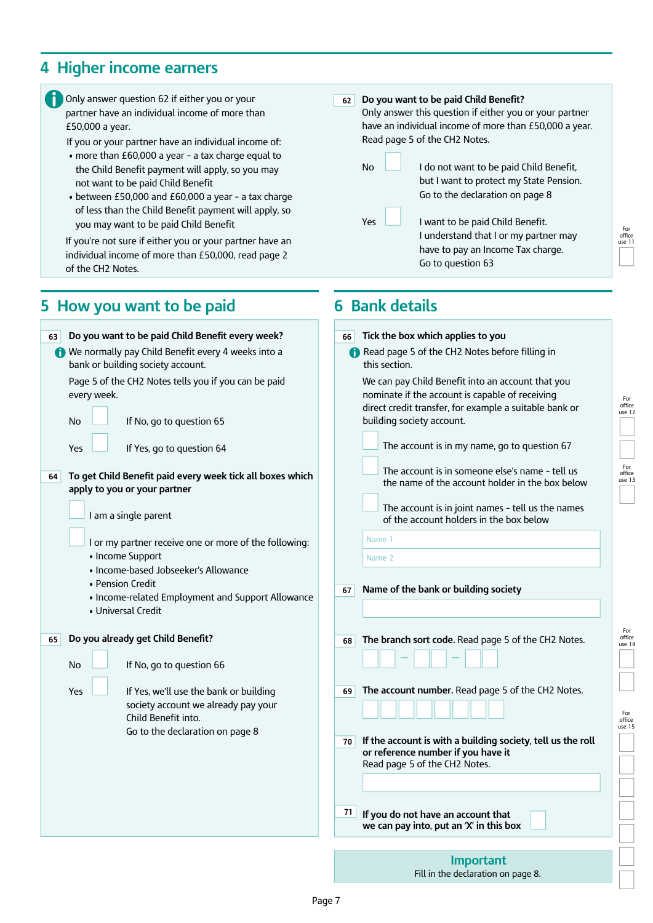### **4 Higher income earners**

£50,000 a year.

of the CH<sub>2</sub> Notes.

**62** Do you want to be paid Child Benefit? Only answer this question if either you or your partner have an individual income of more than £50,000 a year. Read page 5 of the CH2 Notes. No  $\Box$  I do not want to be paid Child Benefit, but I want to protect my State Pension. Go to the declaration on page 8  $Yes$   $\Box$  I want to be paid Child Benefit. I understand that I or my partner may Only answer question 62 if either you or your partner have an individual income of more than If you or your partner have an individual income of: • more than £60,000 a year - a tax charge equal to the Child Benefit payment will apply, so you may not want to be paid Child Benefit • between £50,000 and £60,000 a year - a tax charge of less than the Child Benefit payment will apply, so you may want to be paid Child Benefit If you're not sure if either you or your partner have an

**6 Bank details**

have to pay an Income Tax charge.

Go to question 63

**5 How you want to be paid** 

individual income of more than £50,000, read page 2

#### **63** Do you want to be paid Child Benefit every week? We normally pay Child Benefit every 4 weeks into a bank or building society account. Page 5 of the CH2 Notes tells you if you can be paid every week. No **If** No, go to question 65 Yes  $\Box$  If Yes, go to question 64 **64** To get Child Benefit paid every week tick all boxes which **apply to you or your partner** I am a single parent I or my partner receive one or more of the following: • Income Support • Income-based Jobseeker's Allowance • Pension Credit • Income-related Employment and Support Allowance • Universal Credit **65 Do you already get Child Benefit?** No **If** No, go to question 66  $Yes \quad \Box$  If Yes, we'll use the bank or building society account we already pay your Child Benefit into. Go to the declaration on page 8 **66** Tick the box which applies to you Read page 5 of the CH2 Notes before filling in this section. We can pay Child Benefit into an account that you nominate if the account is capable of receiving direct credit transfer, for example a suitable bank or building society account. The account is in my name, go to question 67 The account is in someone else's name - tell us the name of the account holder in the box below The account is in joint names - tell us the names of the account holders in the box below Name 1 Name 2 **67 Name of the bank or building society 68** The branch sort code. Read page 5 of the CH2 Notes. — — **69** The account number. Read page 5 of the CH2 Notes. **70** If the account is with a building society, tell us the roll or reference number if you have it Read page 5 of the CH2 Notes. **71** If you do not have an account that **we can pay into, put an 'X' in this box**

For office use 12

For office use 11

For office use 13

For<br>office<br>use 14

For<br>office<br>use 15

Page 7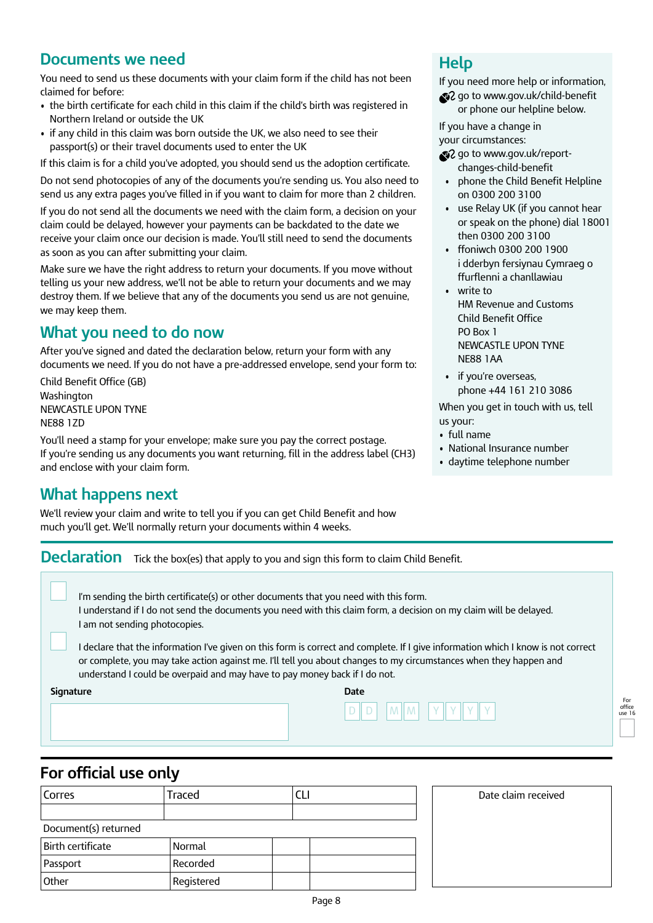### **Documents we need**

You need to send us these documents with your claim form if the child has not been claimed for before:

- the birth certificate for each child in this claim if the child's birth was registered in Northern Ireland or outside the UK
- if any child in this claim was born outside the UK, we also need to see their passport(s) or their travel documents used to enter the UK

If this claim is for a child you've adopted, you should send us the adoption certificate.

Do not send photocopies of any of the documents you're sending us. You also need to send us any extra pages you've filled in if you want to claim for more than 2 children.

If you do not send all the documents we need with the claim form, a decision on your claim could be delayed, however your payments can be backdated to the date we receive your claim once our decision is made. You'll still need to send the documents as soon as you can after submitting your claim.

Make sure we have the right address to return your documents. If you move without telling us your new address, we'll not be able to return your documents and we may destroy them. If we believe that any of the documents you send us are not genuine, we may keep them.

## **What you need to do now**

After you've signed and dated the declaration below, return your form with any documents we need. If you do not have a pre-addressed envelope, send your form to:

Child Benefit Office (GB) Washington NEWCASTLE UPON TYNE NE88 1ZD

You'll need a stamp for your envelope; make sure you pay the correct postage. If you're sending us any documents you want returning, fill in the address label (CH3) and enclose with your claim form.

### **What happens next**

We'll review your claim and write to tell you if you can get Child Benefit and how much you'll get. We'll normally return your documents within 4 weeks.

### **Declaration** Tick the box(es) that apply to you and sign this form to claim Child Benefit.

I'm sending the birth certificate(s) or other documents that you need with this form. I understand if I do not send the documents you need with this claim form, a decision on my claim will be delayed. I am not sending photocopies.

I declare that the information I've given on this form is correct and complete. If I give information which I know is not correct or complete, you may take action against me. I'll tell you about changes to my circumstances when they happen and understand I could be overpaid and may have to pay money back if I do not.

**Signature Date** 



### **For official use only**

|                      | -          |  |  |  |
|----------------------|------------|--|--|--|
| Corres               | Traced     |  |  |  |
|                      |            |  |  |  |
| Document(s) returned |            |  |  |  |
| Birth certificate    | Normal     |  |  |  |
| Passport             | Recorded   |  |  |  |
| Other                | Registered |  |  |  |

### **Help**

If you need more help or information,

go to www.gov.uk/child-benefit or phone our helpline below.

If you have a change in your circumstances:

- go to www.gov.uk/reportchanges-child-benefit
- phone the Child Benefit Helpline on 0300 200 3100
- • use Relay UK (if you cannot hear or speak on the phone) dial 18001 then 0300 200 3100
- • ffoniwch 0300 200 1900 i dderbyn fersiynau Cymraeg o ffurflenni a chanllawiau
- • write to HM Revenue and Customs Child Benefit Office PO Box 1 NEWCASTLE UPON TYNE NE88 1AA
- • if you're overseas, phone +44 161 210 3086

When you get in touch with us, tell us your:

- • full name
- National Insurance number
- • daytime telephone number

For office use 16